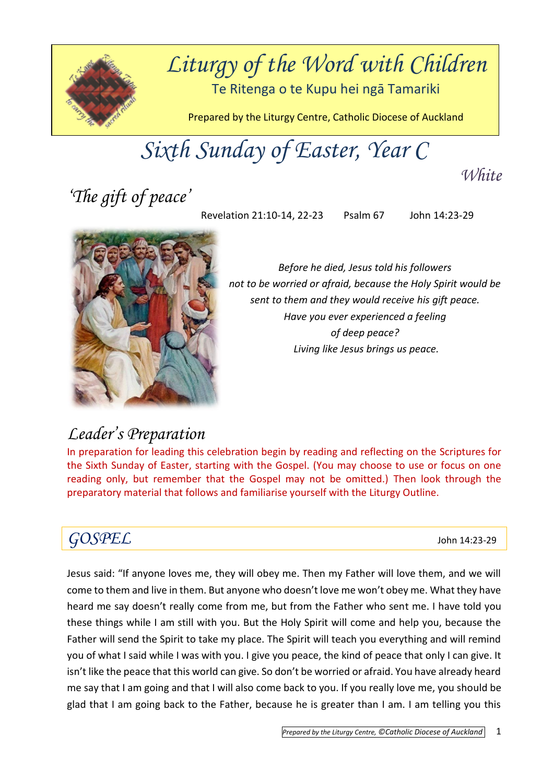

# *Sixth Sunday of Easter, Year C*

*'The gift of peace'*

Revelation 21:10-14, 22-23 Psalm 67 John 14:23-29

*White*



*Before he died, Jesus told his followers not to be worried or afraid, because the Holy Spirit would be sent to them and they would receive his gift peace. Have you ever experienced a feeling of deep peace? Living like Jesus brings us peace.*

### *Leader's Preparation*

In preparation for leading this celebration begin by reading and reflecting on the Scriptures for the Sixth Sunday of Easter, starting with the Gospel. (You may choose to use or focus on one reading only, but remember that the Gospel may not be omitted.) Then look through the preparatory material that follows and familiarise yourself with the Liturgy Outline.

### *GOSPEL* John 14:23-29

Jesus said: "If anyone loves me, they will obey me. Then my Father will love them, and we will come to them and live in them. But anyone who doesn't love me won't obey me. What they have heard me say doesn't really come from me, but from the Father who sent me. I have told you these things while I am still with you. But the Holy Spirit will come and help you, because the Father will send the Spirit to take my place. The Spirit will teach you everything and will remind you of what I said while I was with you. I give you peace, the kind of peace that only I can give. It isn't like the peace that this world can give. So don't be worried or afraid. You have already heard me say that I am going and that I will also come back to you. If you really love me, you should be glad that I am going back to the Father, because he is greater than I am. I am telling you this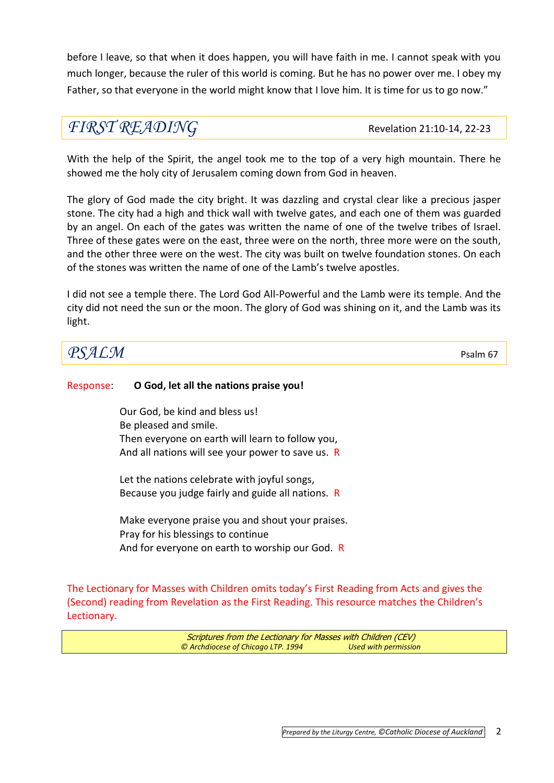before I leave, so that when it does happen, you will have faith in me. I cannot speak with you much longer, because the ruler of this world is coming. But he has no power over me. I obey my Father, so that everyone in the world might know that I love him. It is time for us to go now."

#### *FIRST READING* Revelation 21:10-14, 22-23

With the help of the Spirit, the angel took me to the top of a very high mountain. There he showed me the holy city of Jerusalem coming down from God in heaven.

The glory of God made the city bright. It was dazzling and crystal clear like a precious jasper stone. The city had a high and thick wall with twelve gates, and each one of them was guarded by an angel. On each of the gates was written the name of one of the twelve tribes of Israel. Three of these gates were on the east, three were on the north, three more were on the south, and the other three were on the west. The city was built on twelve foundation stones. On each of the stones was written the name of one of the Lamb's twelve apostles.

I did not see a temple there. The Lord God All-Powerful and the Lamb were its temple. And the city did not need the sun or the moon. The glory of God was shining on it, and the Lamb was its light.

| <b>PSALM</b> | Psalm 67 |
|--------------|----------|
|--------------|----------|

#### Response: **O God, let all the nations praise you!**

Our God, be kind and bless us! Be pleased and smile. Then everyone on earth will learn to follow you, And all nations will see your power to save us. R

Let the nations celebrate with joyful songs, Because you judge fairly and guide all nations. R

Make everyone praise you and shout your praises. Pray for his blessings to continue And for everyone on earth to worship our God. R

The Lectionary for Masses with Children omits today's First Reading from Acts and gives the (Second) reading from Revelation as the First Reading. This resource matches the Children's Lectionary.

> Scriptures from the Lectionary for Masses with Children (CEV) *© Archdiocese of Chicago LTP. 1994 Used with permission*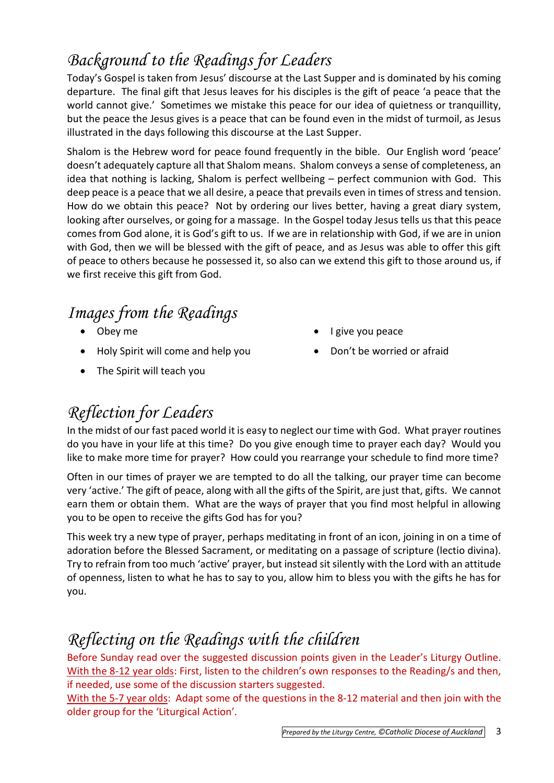# *Background to the Readings for Leaders*

Today's Gospel is taken from Jesus' discourse at the Last Supper and is dominated by his coming departure. The final gift that Jesus leaves for his disciples is the gift of peace 'a peace that the world cannot give.' Sometimes we mistake this peace for our idea of quietness or tranquillity, but the peace the Jesus gives is a peace that can be found even in the midst of turmoil, as Jesus illustrated in the days following this discourse at the Last Supper.

Shalom is the Hebrew word for peace found frequently in the bible. Our English word 'peace' doesn't adequately capture all that Shalom means. Shalom conveys a sense of completeness, an idea that nothing is lacking, Shalom is perfect wellbeing – perfect communion with God. This deep peace is a peace that we all desire, a peace that prevails even in times of stress and tension. How do we obtain this peace? Not by ordering our lives better, having a great diary system, looking after ourselves, or going for a massage. In the Gospel today Jesus tells us that this peace comes from God alone, it is God's gift to us. If we are in relationship with God, if we are in union with God, then we will be blessed with the gift of peace, and as Jesus was able to offer this gift of peace to others because he possessed it, so also can we extend this gift to those around us, if we first receive this gift from God.

# *Images from the Readings*

- Obey me
- Holy Spirit will come and help you
- The Spirit will teach you
- I give you peace
- Don't be worried or afraid

# *Reflection for Leaders*

In the midst of our fast paced world it is easy to neglect our time with God. What prayer routines do you have in your life at this time? Do you give enough time to prayer each day? Would you like to make more time for prayer? How could you rearrange your schedule to find more time?

Often in our times of prayer we are tempted to do all the talking, our prayer time can become very 'active.' The gift of peace, along with all the gifts of the Spirit, are just that, gifts. We cannot earn them or obtain them. What are the ways of prayer that you find most helpful in allowing you to be open to receive the gifts God has for you?

This week try a new type of prayer, perhaps meditating in front of an icon, joining in on a time of adoration before the Blessed Sacrament, or meditating on a passage of scripture (lectio divina). Try to refrain from too much 'active' prayer, but instead sit silently with the Lord with an attitude of openness, listen to what he has to say to you, allow him to bless you with the gifts he has for you.

# *Reflecting on the Readings with the children*

Before Sunday read over the suggested discussion points given in the Leader's Liturgy Outline. With the 8-12 year olds: First, listen to the children's own responses to the Reading/s and then, if needed, use some of the discussion starters suggested.

With the 5-7 year olds: Adapt some of the questions in the 8-12 material and then join with the older group for the 'Liturgical Action'*.*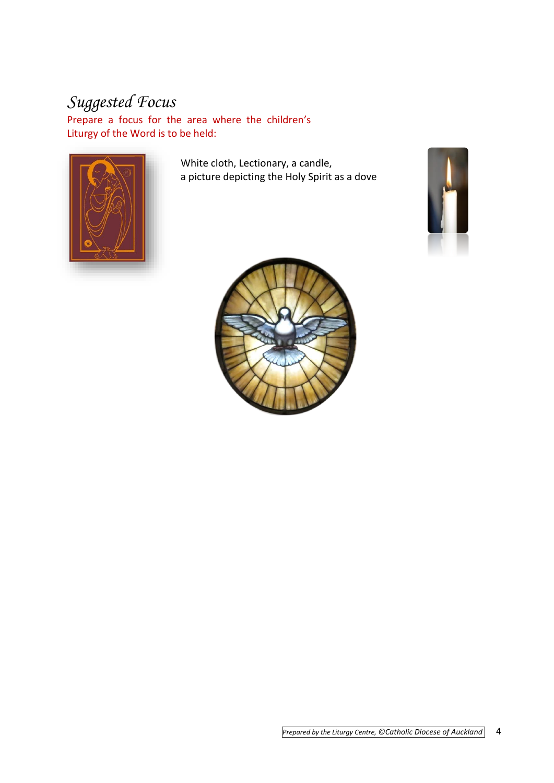# *Suggested Focus*

Prepare a focus for the area where the children's Liturgy of the Word is to be held:



White cloth, Lectionary, a candle, a picture depicting the Holy Spirit as a dove



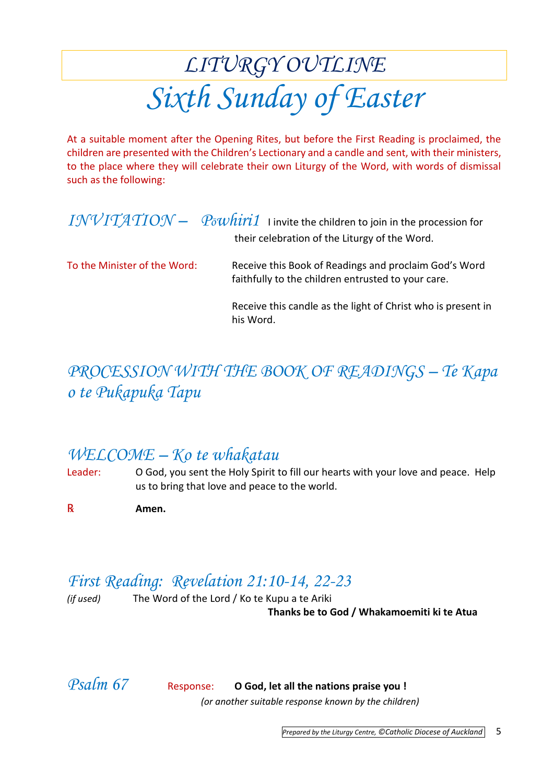# *LITURGY OUTLINE Sixth Sunday of Easter*

At a suitable moment after the Opening Rites, but before the First Reading is proclaimed, the children are presented with the Children's Lectionary and a candle and sent, with their ministers, to the place where they will celebrate their own Liturgy of the Word, with words of dismissal such as the following:

|                              | $INVITATION - P\bar{o}whiril$ I invite the children to join in the procession for<br>their celebration of the Liturgy of the Word. |
|------------------------------|------------------------------------------------------------------------------------------------------------------------------------|
| To the Minister of the Word: | Receive this Book of Readings and proclaim God's Word<br>faithfully to the children entrusted to your care.                        |
|                              | Receive this candle as the light of Christ who is present in<br>his Word.                                                          |

## *PROCESSION WITH THE BOOK OF READINGS – Te Kapa o te Pukapuka Tapu*

### *WELCOME – Ko te whakatau*

- Leader: O God, you sent the Holy Spirit to fill our hearts with your love and peace. Help us to bring that love and peace to the world.
- ℞ **Amen.**

### *First Reading: Revelation 21:10-14, 22-23*

*(if used)* The Word of the Lord / Ko te Kupu a te Ariki **Thanks be to God / Whakamoemiti ki te Atua**

*Psalm 67* Response: **O God, let all the nations praise you !**

*(or another suitable response known by the children)*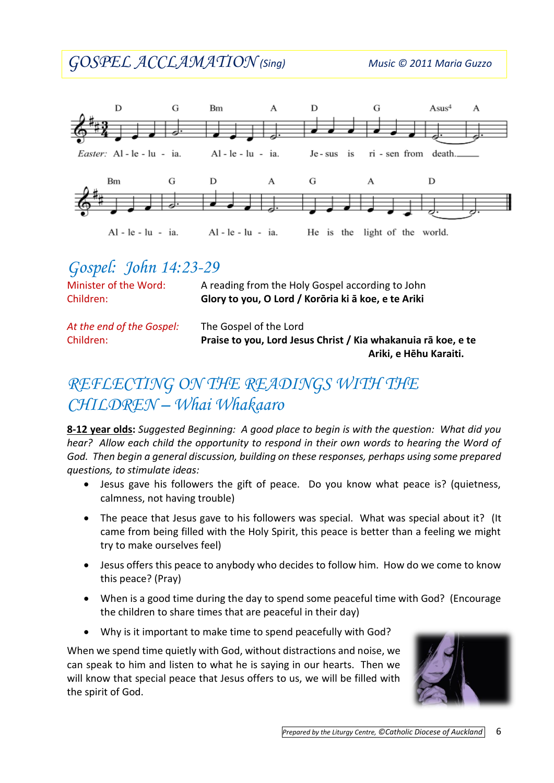# *GOSPEL ACCLAMATION (Sing) Music © 2011 Maria Guzzo*



### *Gospel: John 14:23-29*

| Minister of the Word:                  | A reading from the Holy Gospel according to John                                                                  |
|----------------------------------------|-------------------------------------------------------------------------------------------------------------------|
| Children:                              | Glory to you, O Lord / Korōria ki ā koe, e te Ariki                                                               |
| At the end of the Gospel:<br>Children: | The Gospel of the Lord<br>Praise to you, Lord Jesus Christ / Kia whakanuia rā koe, e te<br>Ariki, e Hēhu Karaiti. |

### *REFLECTING ON THE READINGS WITH THE CHILDREN – Whai Whakaaro*

**8-12 year olds:** *Suggested Beginning: A good place to begin is with the question: What did you hear? Allow each child the opportunity to respond in their own words to hearing the Word of God. Then begin a general discussion, building on these responses, perhaps using some prepared questions, to stimulate ideas:* 

- Jesus gave his followers the gift of peace. Do you know what peace is? (quietness, calmness, not having trouble)
- The peace that Jesus gave to his followers was special. What was special about it? (It came from being filled with the Holy Spirit, this peace is better than a feeling we might try to make ourselves feel)
- Jesus offers this peace to anybody who decides to follow him. How do we come to know this peace? (Pray)
- When is a good time during the day to spend some peaceful time with God? (Encourage the children to share times that are peaceful in their day)
- Why is it important to make time to spend peacefully with God?

When we spend time quietly with God, without distractions and noise, we can speak to him and listen to what he is saying in our hearts. Then we will know that special peace that Jesus offers to us, we will be filled with the spirit of God.

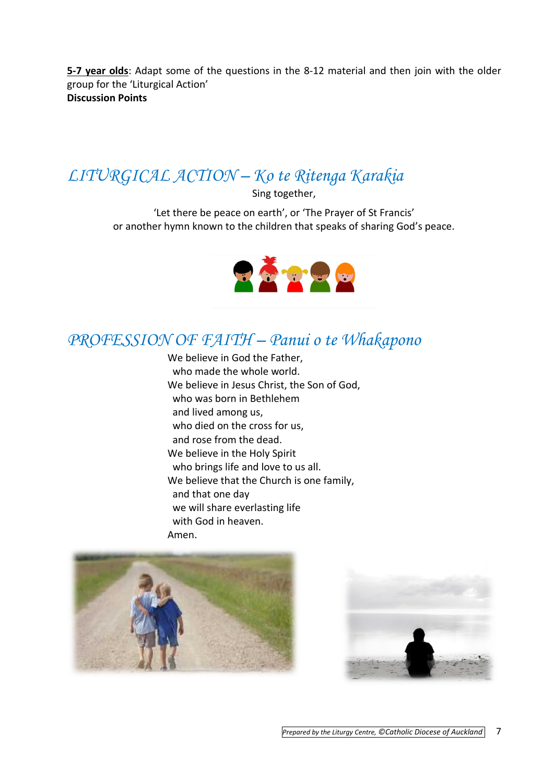**5-7 year olds**: Adapt some of the questions in the 8-12 material and then join with the older group for the 'Liturgical Action' **Discussion Points**

### *LITURGICAL ACTION – Ko te Ritenga Karakia*

Sing together,

'Let there be peace on earth', or 'The Prayer of St Francis' or another hymn known to the children that speaks of sharing God's peace.



### *PROFESSION OF FAITH – Panui o te Whakapono*

We believe in God the Father. who made the whole world. We believe in Jesus Christ, the Son of God, who was born in Bethlehem and lived among us, who died on the cross for us, and rose from the dead. We believe in the Holy Spirit who brings life and love to us all. We believe that the Church is one family, and that one day we will share everlasting life with God in heaven. Amen.